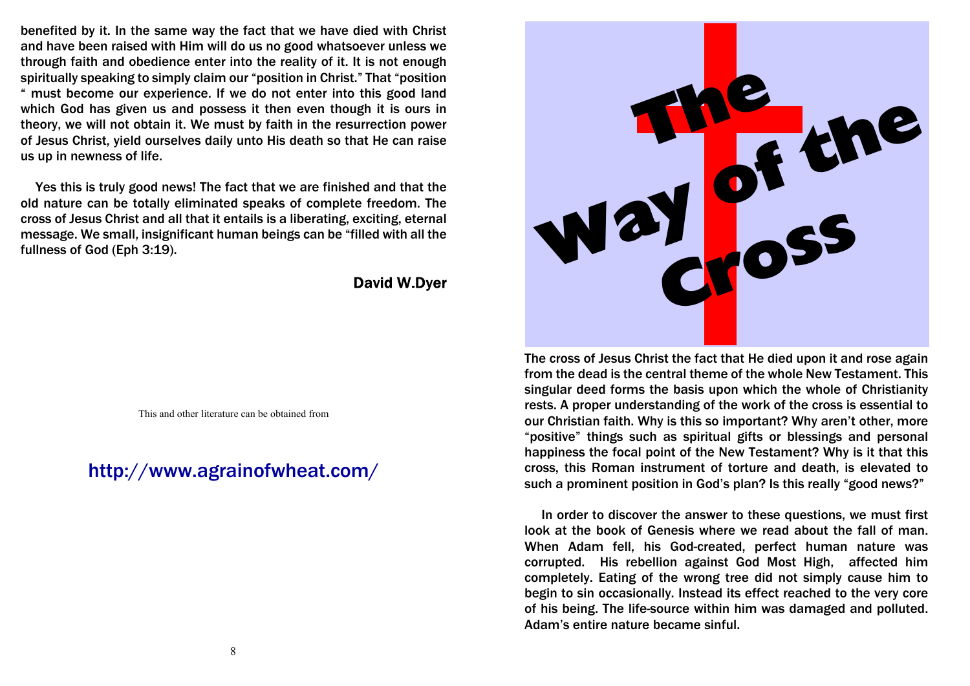benefited by it. In the same way the fact that we have died with Christ and have been raised with Him will do us no good whatsoever unless we through faith and obedience enter into the reality of it. It is not enough spiritually speaking to simply claim our "position in Christ." That "position " must become our experience. If we do not enter into this good land which God has given us and possess it then even though it is ours in theory, we will not obtain it. We must by faith in the resurrection power of Jesus Christ, yield ourselves daily unto His death so that He can raise us up in newness of life.

 Yes this is truly good news! The fact that we are finished and that the old nature can be totally eliminated speaks of complete freedom. The cross of Jesus Christ and all that it entails is a liberating, exciting, eternal message. We small, insignificant human beings can be "filled with all the fullness of God (Eph 3:19).

**David W.Dver** 

This and other literature can be obtained from

http://www.agrainofwheat.com/



The cross of Jesus Christ the fact that He died upon it and rose again from the dead is the central theme of the whole New Testament. This singular deed forms the basis upon which the whole of Christianity rests. A proper understanding of the work of the cross is essential to our Christian faith. Why is this so important? Why aren't other, more "positive" things such as spiritual gifts or blessings and personal happiness the focal point of the New Testament? Why is it that this cross, this Roman instrument of torture and death, is elevated to such a prominent position in God's plan? Is this really "good news?"

 In order to discover the answer to these questions, we must first look at the book of Genesis where we read about the fall of man. When Adam fell, his God-created, perfect human nature was corrupted. His rebellion against God Most High, affected him completely. Eating of the wrong tree did not simply cause him to begin to sin occasionally. Instead its effect reached to the very core of his being. The life-source within him was damaged and polluted. Adam's entire nature became sinful.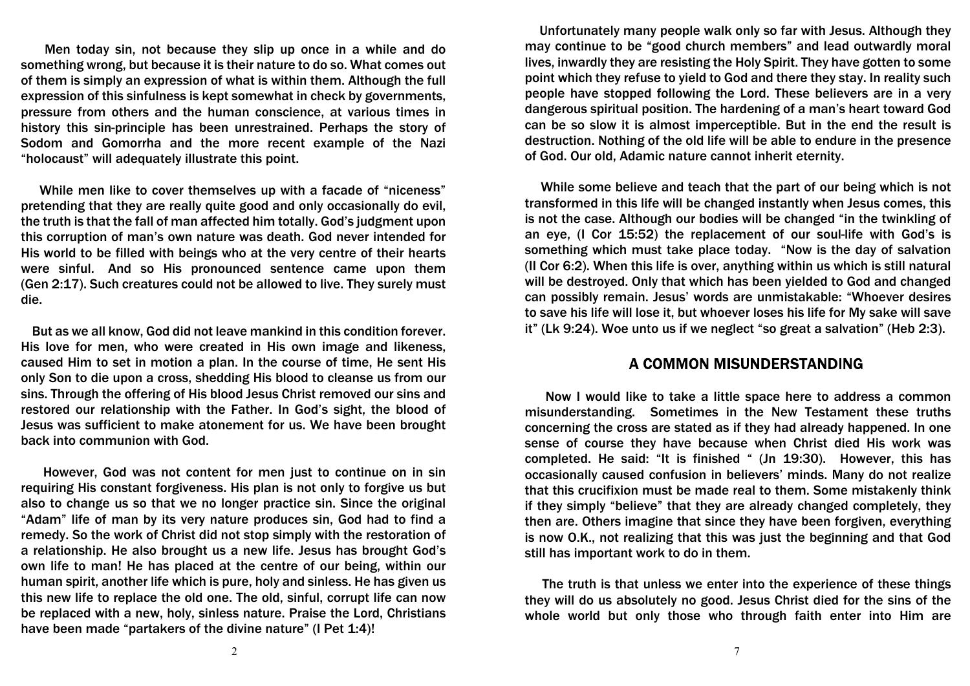Men today sin, not because they slip up once in a while and do something wrong, but because it is their nature to do so. What comes out of them is simply an expression of what is within them. Although the full expression of this sinfulness is kept somewhat in check by governments, pressure from others and the human conscience, at various times in history this sin-principle has been unrestrained. Perhaps the story of Sodom and Gomorrha and the more recent example of the Nazi "holocaust" will adequately illustrate this point.

 While men like to cover themselves up with a facade of "niceness" pretending that they are really quite good and only occasionally do evil, the truth is that the fall of man affected him totally. God's judgment upon this corruption of man's own nature was death. God never intended for His world to be filled with beings who at the very centre of their hearts were sinful. And so His pronounced sentence came upon them (Gen 2:17). Such creatures could not be allowed to live. They surely must die.

 But as we all know, God did not leave mankind in this condition forever. His love for men, who were created in His own image and likeness, caused Him to set in motion a plan. In the course of time, He sent His only Son to die upon a cross, shedding His blood to cleanse us from our sins. Through the offering of His blood Jesus Christ removed our sins and restored our relationship with the Father. In God's sight, the blood of Jesus was sufficient to make atonement for us. We have been brought back into communion with God.

 However, God was not content for men just to continue on in sin requiring His constant forgiveness. His plan is not only to forgive us but also to change us so that we no longer practice sin. Since the original "Adam" life of man by its very nature produces sin, God had to find a remedy. So the work of Christ did not stop simply with the restoration of a relationship. He also brought us a new life. Jesus has brought God's own life to man! He has placed at the centre of our being, within our human spirit, another life which is pure, holy and sinless. He has given us this new life to replace the old one. The old, sinful, corrupt life can now be replaced with a new, holy, sinless nature. Praise the Lord, Christians have been made "partakers of the divine nature" (I Pet 1:4)!

 Unfortunately many people walk only so far with Jesus. Although they may continue to be "good church members" and lead outwardly moral lives, inwardly they are resisting the Holy Spirit. They have gotten to some point which they refuse to yield to God and there they stay. In reality such people have stopped following the Lord. These believers are in a very dangerous spiritual position. The hardening of a man's heart toward God can be so slow it is almost imperceptible. But in the end the result is destruction. Nothing of the old life will be able to endure in the presence of God. Our old, Adamic nature cannot inherit eternity.

 While some believe and teach that the part of our being which is not transformed in this life will be changed instantly when Jesus comes, this is not the case. Although our bodies will be changed "in the twinkling of an eye, (I Cor 15:52) the replacement of our soul-life with God's is something which must take place today. "Now is the day of salvation (II Cor 6:2). When this life is over, anything within us which is still natural will be destroyed. Only that which has been yielded to God and changed can possibly remain. Jesus' words are unmistakable: "Whoever desires to save his life will lose it, but whoever loses his life for My sake will save it" (Lk 9:24). Woe unto us if we neglect "so great a salvation" (Heb 2:3).

## A COMMON MISUNDERSTANDING

 Now I would like to take a little space here to address a common misunderstanding. Sometimes in the New Testament these truths concerning the cross are stated as if they had already happened. In one sense of course they have because when Christ died His work was completed. He said: "It is finished " (Jn 19:30). However, this has occasionally caused confusion in believers' minds. Many do not realize that this crucifixion must be made real to them. Some mistakenly think if they simply "believe" that they are already changed completely, they then are. Others imagine that since they have been forgiven, everything is now O.K., not realizing that this was just the beginning and that God still has important work to do in them.

 The truth is that unless we enter into the experience of these things they will do us absolutely no good. Jesus Christ died for the sins of the whole world but only those who through faith enter into Him are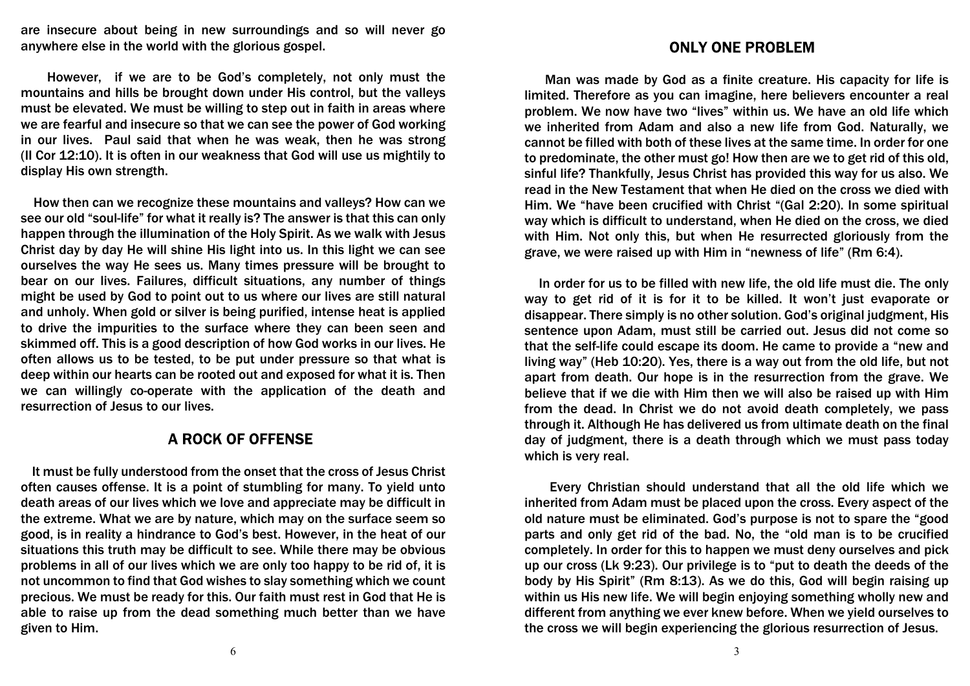are insecure about being in new surroundings and so will never go anywhere else in the world with the glorious gospel.

 However, if we are to be God's completely, not only must the mountains and hills be brought down under His control, but the valleys must be elevated. We must be willing to step out in faith in areas where we are fearful and insecure so that we can see the power of God working in our lives. Paul said that when he was weak, then he was strong (II Cor 12:10). It is often in our weakness that God will use us mightily to display His own strength.

 How then can we recognize these mountains and valleys? How can we see our old "soul-life" for what it really is? The answer is that this can only happen through the illumination of the Holy Spirit. As we walk with Jesus Christ day by day He will shine His light into us. In this light we can see ourselves the way He sees us. Many times pressure will be brought to bear on our lives. Failures, difficult situations, any number of things might be used by God to point out to us where our lives are still natural and unholy. When gold or silver is being purified, intense heat is applied to drive the impurities to the surface where they can been seen and skimmed off. This is a good description of how God works in our lives. He often allows us to be tested, to be put under pressure so that what is deep within our hearts can be rooted out and exposed for what it is. Then we can willingly co-operate with the application of the death and resurrection of Jesus to our lives.

## **A ROCK OF OFFENSE**

 It must be fully understood from the onset that the cross of Jesus Christ often causes offense. It is a point of stumbling for many. To yield unto death areas of our lives which we love and appreciate may be difficult in the extreme. What we are by nature, which may on the surface seem so good, is in reality a hindrance to God's best. However, in the heat of our situations this truth may be difficult to see. While there may be obvious problems in all of our lives which we are only too happy to be rid of, it is not uncommon to find that God wishes to slay something which we count precious. We must be ready for this. Our faith must rest in God that He is able to raise up from the dead something much better than we have given to Him.

## **ONLY ONE PROBLEM**

 Man was made by God as a finite creature. His capacity for life is limited. Therefore as you can imagine, here believers encounter a real problem. We now have two "lives" within us. We have an old life which we inherited from Adam and also a new life from God. Naturally, we cannot be filled with both of these lives at the same time. In order for one to predominate, the other must go! How then are we to get rid of this old, sinful life? Thankfully, Jesus Christ has provided this way for us also. We read in the New Testament that when He died on the cross we died with Him. We "have been crucified with Christ "(Gal 2:20). In some spiritual way which is difficult to understand, when He died on the cross, we died with Him. Not only this, but when He resurrected gloriously from the grave, we were raised up with Him in "newness of life" (Rm 6:4).

 In order for us to be filled with new life, the old life must die. The only way to get rid of it is for it to be killed. It won't just evaporate or disappear. There simply is no other solution. God's original judgment, His sentence upon Adam, must still be carried out. Jesus did not come so that the self-life could escape its doom. He came to provide a "new and living way" (Heb 10:20). Yes, there is a way out from the old life, but not apart from death. Our hope is in the resurrection from the grave. We believe that if we die with Him then we will also be raised up with Him from the dead. In Christ we do not avoid death completely, we pass through it. Although He has delivered us from ultimate death on the final day of judgment, there is a death through which we must pass today which is very real.

 Every Christian should understand that all the old life which we inherited from Adam must be placed upon the cross. Every aspect of the old nature must be eliminated. God's purpose is not to spare the "good parts and only get rid of the bad. No, the "old man is to be crucified completely. In order for this to happen we must deny ourselves and pick up our cross (Lk 9:23). Our privilege is to "put to death the deeds of the body by His Spirit" (Rm 8:13). As we do this, God will begin raising up within us His new life. We will begin enjoying something wholly new and different from anything we ever knew before. When we yield ourselves to the cross we will begin experiencing the glorious resurrection of Jesus.